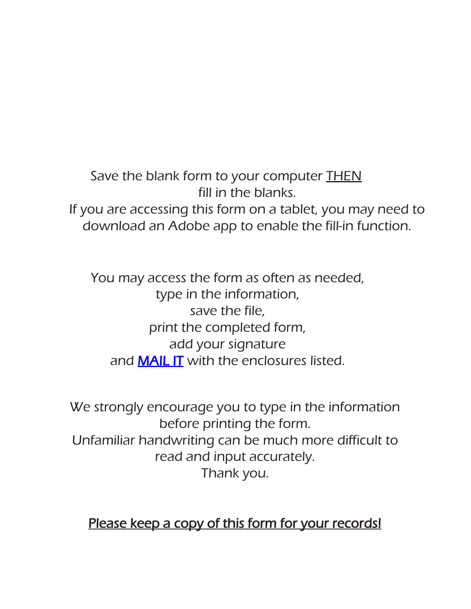Save the blank form to your computer **THEN** fill in the blanks. If you are accessing this form on a tablet, you may need to download an Adobe app to enable the fill-in function.

You may access the form as often as needed, type in the information, save the file, print the completed form, add your signature and **MAIL IT** with the enclosures listed.

We strongly encourage you to type in the information before printing the form. Unfamiliar handwriting can be much more difficult to read and input accurately. Thank you.

## Please keep a copy of this form for your records!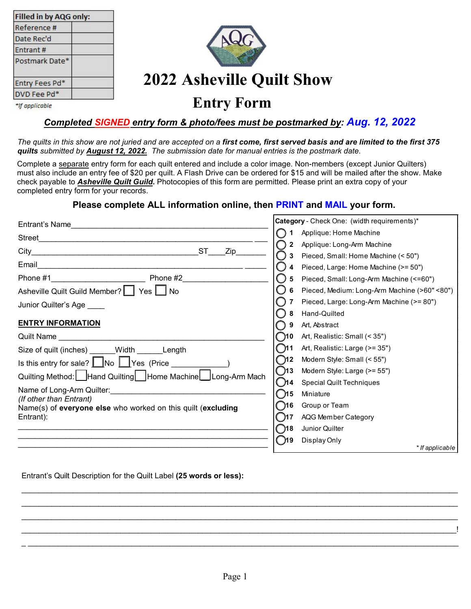| Filled in by AQG only: |  |  |
|------------------------|--|--|
| Reference #            |  |  |
| Date Rec'd             |  |  |
| Entrant#               |  |  |
| Postmark Date*         |  |  |
| Entry Fees Pd*         |  |  |
| DVD Fee Pd*            |  |  |
|                        |  |  |



# **2022 Asheville Quilt Show**

\*If applicable

### *Completed SIGNED entry form & photo/fees must be postmarked by: Aug. 12, 2022*

**Entry Form** 

*The quilts in this show are not juried and are accepted on a first come, first served basis and are limited to the first 375 quilts submitted by August 12, 2022. The submission date for manual entries is the postmark date.* 

Complete a separate entry form for each quilt entered and include a color image. Non-members (except Junior Quilters) must also include an entry fee of \$20 per quilt. A Flash Drive can be ordered for \$15 and will be mailed after the show. Make check payable to *Asheville Quilt Guild.* Photocopies of this form are permitted. Please print an extra copy of your completed entry form for your records.

#### **Please complete ALL information online, then PRINT and MAIL your form.**

| Entrant's Name                                                                 |               | Category - Check One: (width requirements)*  |
|--------------------------------------------------------------------------------|---------------|----------------------------------------------|
| Street                                                                         |               | Applique: Home Machine                       |
|                                                                                | 2             | Applique: Long-Arm Machine                   |
| ST<br>Zip                                                                      |               | Pieced, Small: Home Machine (< 50")          |
|                                                                                |               | Pieced, Large: Home Machine (>= 50")         |
| Phone #1__________________________<br>Phone #2                                 | 5             | Pieced, Small: Long-Arm Machine (<=60")      |
| Asheville Quilt Guild Member?     Yes     No                                   |               | Pieced, Medium: Long-Arm Machine (>60" <80") |
| Junior Quilter's Age                                                           |               | Pieced, Large: Long-Arm Machine (>= 80")     |
|                                                                                |               | Hand-Quilted                                 |
| <b>ENTRY INFORMATION</b>                                                       | 9             | Art, Abstract                                |
| Quilt Name                                                                     | ( )10         | Art, Realistic: Small (< 35")                |
| Size of quilt (inches) ______ Width _______Length                              | ົ ງ11         | Art, Realistic: Large (>= 35")               |
| Is this entry for sale? $\Box$ No $\Box$ Yes (Price                            | $\bigcirc$ 12 | Modern Style: Small (< 55")                  |
| Quilting Method: Hand Quilting   Home Machine   Long-Arm Mach                  | ◯13           | Modern Style: Large (>= 55")                 |
|                                                                                | M4            | <b>Special Quilt Techniques</b>              |
| Name of Long-Arm Quilter: Name of Long-Arm Quilter:<br>(If other than Entrant) | ิทธ           | Miniature                                    |
| Name(s) of everyone else who worked on this quilt (excluding                   | ි)16          | Group or Team                                |
| Entrant):                                                                      | - 117         | AQG Member Category                          |
|                                                                                | ີ )18         | Junior Quilter                               |
|                                                                                | ี ท9          | Display Only                                 |
|                                                                                |               | * If applicable                              |

#### Entrant's Quilt Description for the Quilt Label **(25 words or less):**

\_\_\_\_\_\_\_\_\_\_\_\_\_\_\_\_\_\_\_\_\_\_\_\_\_\_\_\_\_\_\_\_\_\_\_\_\_\_\_\_\_\_\_\_\_\_\_\_\_\_\_\_\_\_\_\_\_\_\_\_\_\_\_\_\_\_\_\_\_\_\_\_\_\_\_\_\_\_\_\_\_\_\_\_\_\_\_\_\_\_\_\_\_\_\_\_\_\_\_\_\_\_ \_\_\_\_\_\_\_\_\_\_\_\_\_\_\_\_\_\_\_\_\_\_\_\_\_\_\_\_\_\_\_\_\_\_\_\_\_\_\_\_\_\_\_\_\_\_\_\_\_\_\_\_\_\_\_\_\_\_\_\_\_\_\_\_\_\_\_\_\_\_\_\_\_\_\_\_\_\_\_\_\_\_\_\_\_\_\_\_\_\_\_\_\_\_\_\_\_\_\_\_\_\_ \_\_\_\_\_\_\_\_\_\_\_\_\_\_\_\_\_\_\_\_\_\_\_\_\_\_\_\_\_\_\_\_\_\_\_\_\_\_\_\_\_\_\_\_\_\_\_\_\_\_\_\_\_\_\_\_\_\_\_\_\_\_\_\_\_\_\_\_\_\_\_\_\_\_\_\_\_\_\_\_\_\_\_\_\_\_\_\_\_\_\_\_\_\_\_\_\_\_\_\_\_\_ \_\_\_\_\_\_\_\_\_\_\_\_\_\_\_\_\_\_\_\_\_\_\_\_\_\_\_\_\_\_\_\_\_\_\_\_\_\_\_\_\_\_\_\_\_\_\_\_\_\_\_\_\_\_\_\_\_\_\_\_\_\_\_\_\_\_\_\_\_\_\_\_\_\_\_\_\_\_\_\_\_\_\_\_\_\_\_\_\_\_\_\_\_\_\_\_\_\_\_\_\_! \_ \_\_\_\_\_\_\_\_\_\_\_\_\_\_\_\_\_\_\_\_\_\_\_\_\_\_\_\_\_\_\_\_\_\_\_\_\_\_\_\_\_\_\_\_\_\_\_\_\_\_\_\_\_\_\_\_\_\_\_\_\_\_\_\_\_\_\_\_\_\_\_\_\_\_\_\_\_\_\_\_\_\_\_\_\_\_\_\_\_\_\_\_\_\_\_\_\_\_\_\_